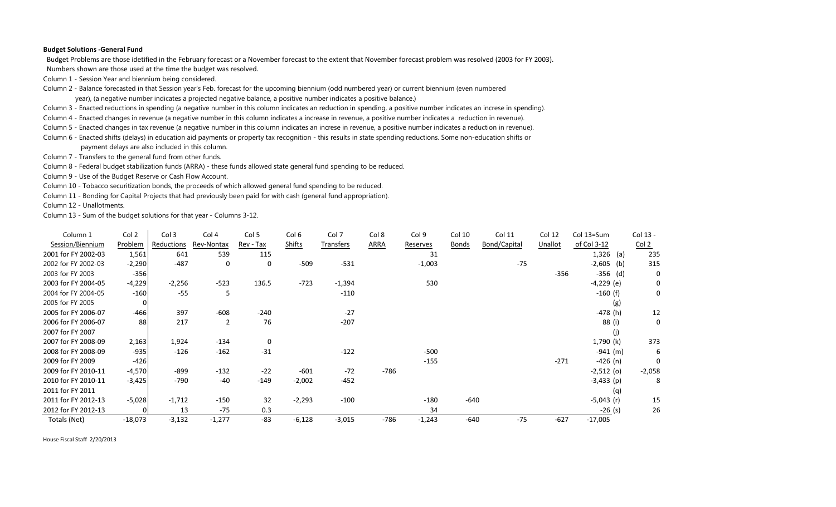## **Budget Solutions ‐General Fund**

Budget Problems are those idetified in the February forecast or <sup>a</sup> November forecast to the extent that November forecast problem was resolved (2003 for FY 2003).

Numbers shown are those used at the time the budget was resolved.

Column 1 - Session Year and biennium being considered.

Column 2 - Balance forecasted in that Session year's Feb. forecast for the upcoming biennium (odd numbered year) or current biennium (even numbered

year), (a negative number indicates a projected negative balance, a positive number indicates a positive balance.)

Column 3 - Enacted reductions in spending (a negative number in this column indicates an reduction in spending, a positive number indicates an increse in spending).

Column 4 - Enacted changes in revenue (a negative number in this column indicates a increase in revenue, a positive number indicates a reduction in revenue).

Column 5 - Enacted changes in tax revenue (a negative number in this column indicates an increse in revenue, a positive number indicates a reduction in revenue).

Column 6 - Enacted shifts (delays) in education aid payments or property tax recognition - this results in state spending reductions. Some non-education shifts or

payment delays are also included in this column.

Column 7 - Transfers to the general fund from other funds.

Column 8 - Federal budget stabilization funds (ARRA) - these funds allowed state general fund spending to be reduced.

Column 9 - Use of the Budget Reserve or Cash Flow Account.

Column 10 - Tobacco securitization bonds, the proceeds of which allowed general fund spending to be reduced.

Column 11 - Bonding for Capital Projects that had previously been paid for with cash (general fund appropriation).

Column 12 - Unallotments.

Column 13 - Sum of the budget solutions for that year - Columns 3-12.

| Column 1            | Col 2     | Col 3      | Col 4          | Col <sub>5</sub> | Col <sub>6</sub> | Col 7     | Col 8       | Col 9    | Col 10       | Col 11       | Col 12  | Col 13=Sum      | Col 13 -         |
|---------------------|-----------|------------|----------------|------------------|------------------|-----------|-------------|----------|--------------|--------------|---------|-----------------|------------------|
| Session/Biennium    | Problem   | Reductions | Rev-Nontax     | Rev - Tax        | Shifts           | Transfers | <b>ARRA</b> | Reserves | <b>Bonds</b> | Bond/Capital | Unallot | of Col 3-12     | Col <sub>2</sub> |
| 2001 for FY 2002-03 | 1,561     | 641        | 539            | 115              |                  |           |             | 31       |              |              |         | $1,326$ (a)     | 235              |
| 2002 for FY 2002-03 | $-2,290$  | $-487$     | 0              | 0                | $-509$           | $-531$    |             | $-1,003$ |              | $-75$        |         | $-2,605$<br>(b) | 315              |
| 2003 for FY 2003    | $-356$    |            |                |                  |                  |           |             |          |              |              | $-356$  | $-356$ (d)      | 0                |
| 2003 for FY 2004-05 | $-4,229$  | $-2,256$   | $-523$         | 136.5            | $-723$           | $-1,394$  |             | 530      |              |              |         | $-4,229$ (e)    | 0                |
| 2004 for FY 2004-05 | $-160$    | $-55$      | 5              |                  |                  | $-110$    |             |          |              |              |         | $-160$ (f)      | 0                |
| 2005 for FY 2005    | 0         |            |                |                  |                  |           |             |          |              |              |         | (g)             |                  |
| 2005 for FY 2006-07 | -466      | 397        | $-608$         | $-240$           |                  | $-27$     |             |          |              |              |         | $-478$ (h)      | 12               |
| 2006 for FY 2006-07 | 88        | 217        | $\overline{2}$ | 76               |                  | $-207$    |             |          |              |              |         | 88 (i)          | 0                |
| 2007 for FY 2007    |           |            |                |                  |                  |           |             |          |              |              |         | (j)             |                  |
| 2007 for FY 2008-09 | 2,163     | 1,924      | $-134$         | $\mathbf 0$      |                  |           |             |          |              |              |         | 1,790 (k)       | 373              |
| 2008 for FY 2008-09 | $-935$    | $-126$     | $-162$         | $-31$            |                  | $-122$    |             | $-500$   |              |              |         | $-941$ (m)      | 6                |
| 2009 for FY 2009    | $-426$    |            |                |                  |                  |           |             | $-155$   |              |              | $-271$  | $-426$ (n)      | 0                |
| 2009 for FY 2010-11 | $-4,570$  | $-899$     | $-132$         | $-22$            | $-601$           | $-72$     | $-786$      |          |              |              |         | $-2,512$ (o)    | $-2,058$         |
| 2010 for FY 2010-11 | $-3,425$  | $-790$     | $-40$          | $-149$           | $-2,002$         | $-452$    |             |          |              |              |         | $-3,433$ (p)    | 8                |
| 2011 for FY 2011    |           |            |                |                  |                  |           |             |          |              |              |         | (q)             |                  |
| 2011 for FY 2012-13 | $-5,028$  | $-1,712$   | $-150$         | 32               | $-2,293$         | $-100$    |             | $-180$   | $-640$       |              |         | $-5,043$ (r)    | 15               |
| 2012 for FY 2012-13 | $\Omega$  | 13         | $-75$          | 0.3              |                  |           |             | 34       |              |              |         | $-26$ (s)       | 26               |
| Totals (Net)        | $-18,073$ | $-3,132$   | $-1,277$       | $-83$            | $-6,128$         | $-3,015$  | $-786$      | $-1,243$ | $-640$       | $-75$        | $-627$  | $-17,005$       |                  |

House Fiscal Staff 2/20/2013